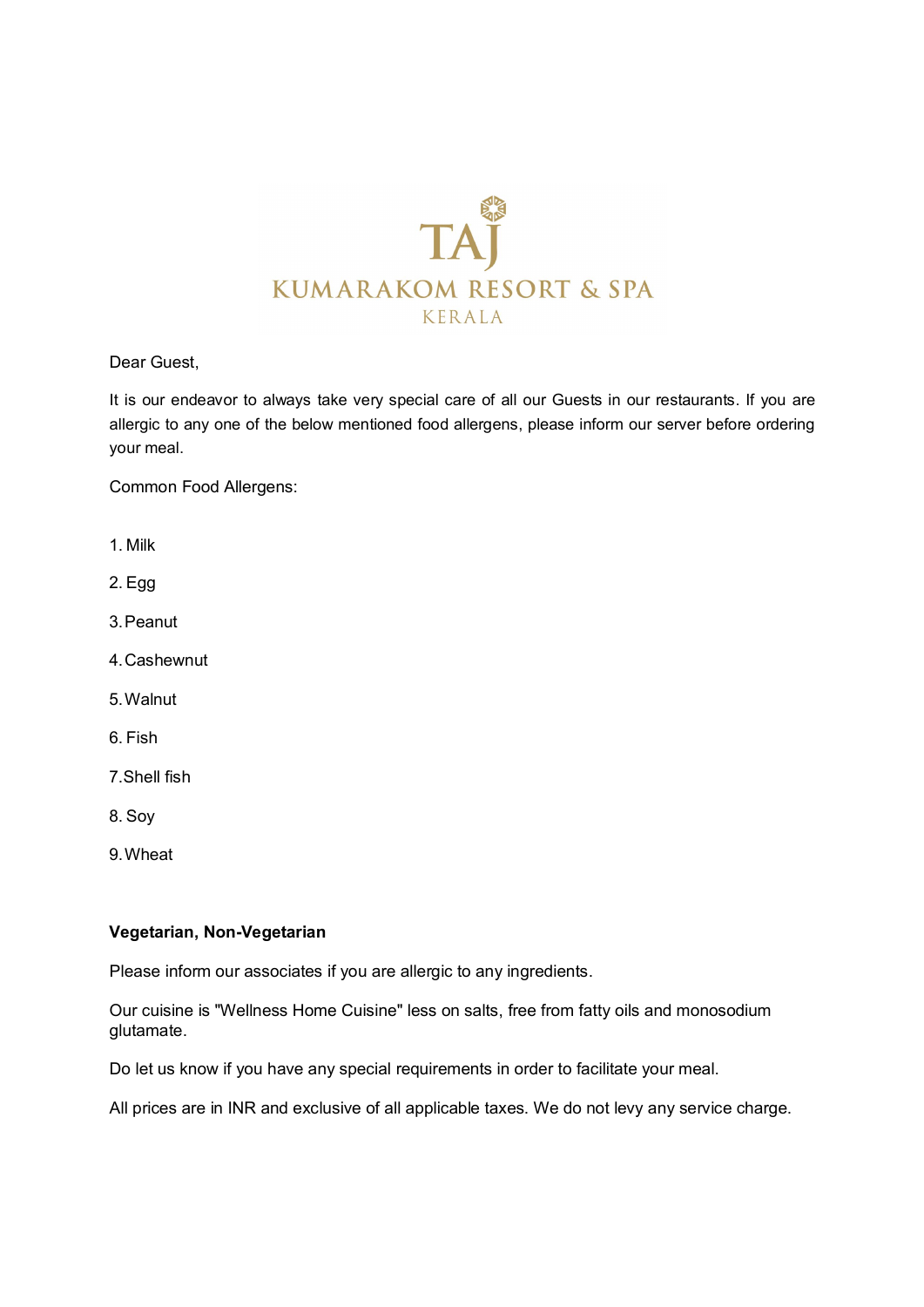

Dear Guest,

It is our endeavor to always take very special care of all our Guests in our restaurants. If you are allergic to any one of the below mentioned food allergens, please inform our server before ordering your meal.

Common Food Allergens:

- 1. Milk
- 2. Egg
- 3.Peanut
- 4.Cashewnut
- 5.Walnut
- 6. Fish
- 7.Shell fish
- 8. Soy
- 9.Wheat

#### **Vegetarian, Non-Vegetarian**

Please inform our associates if you are allergic to any ingredients.

Our cuisine is "Wellness Home Cuisine" less on salts, free from fatty oils and monosodium glutamate.

Do let us know if you have any special requirements in order to facilitate your meal.

All prices are in INR and exclusive of all applicable taxes. We do not levy any service charge.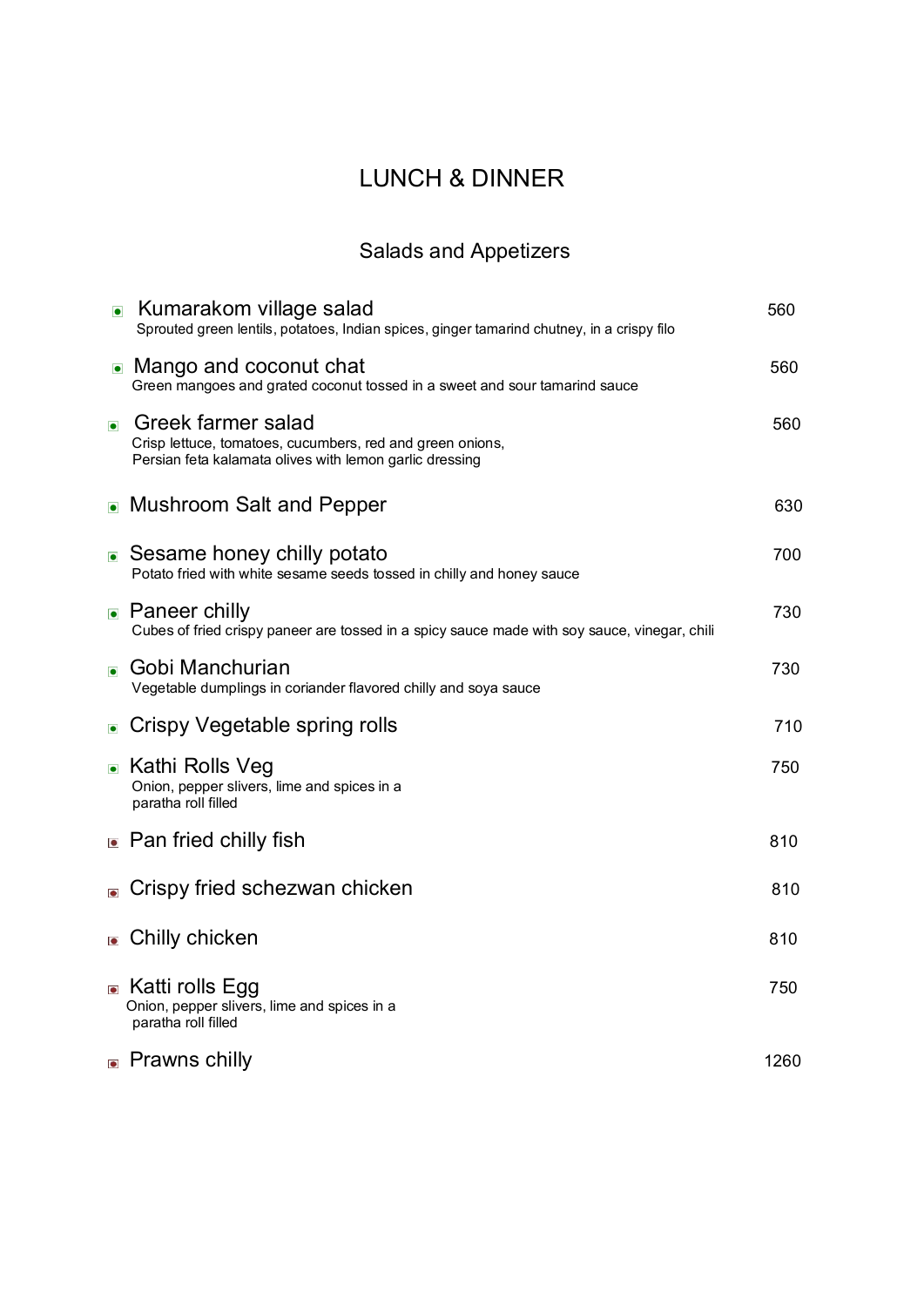# LUNCH & DINNER

# Salads and Appetizers

|           | • Kumarakom village salad<br>Sprouted green lentils, potatoes, Indian spices, ginger tamarind chutney, in a crispy filo                    | 560  |
|-----------|--------------------------------------------------------------------------------------------------------------------------------------------|------|
|           | • Mango and coconut chat<br>Green mangoes and grated coconut tossed in a sweet and sour tamarind sauce                                     | 560  |
| $\bullet$ | Greek farmer salad<br>Crisp lettuce, tomatoes, cucumbers, red and green onions,<br>Persian feta kalamata olives with lemon garlic dressing | 560  |
|           | • Mushroom Salt and Pepper                                                                                                                 | 630  |
|           | ■ Sesame honey chilly potato<br>Potato fried with white sesame seeds tossed in chilly and honey sauce                                      | 700  |
|           | • Paneer chilly<br>Cubes of fried crispy paneer are tossed in a spicy sauce made with soy sauce, vinegar, chili                            | 730  |
| $\bullet$ | Gobi Manchurian<br>Vegetable dumplings in coriander flavored chilly and soya sauce                                                         | 730  |
|           | • Crispy Vegetable spring rolls                                                                                                            | 710  |
|           | ■ Kathi Rolls Veg<br>Onion, pepper slivers, lime and spices in a<br>paratha roll filled                                                    | 750  |
|           | • Pan fried chilly fish                                                                                                                    | 810  |
| $\bullet$ | Crispy fried schezwan chicken                                                                                                              | 810  |
|           | <b>Chilly chicken</b>                                                                                                                      | 810  |
|           | ■ Katti rolls Egg<br>Onion, pepper slivers, lime and spices in a<br>paratha roll filled                                                    | 750  |
|           | • Prawns chilly                                                                                                                            | 1260 |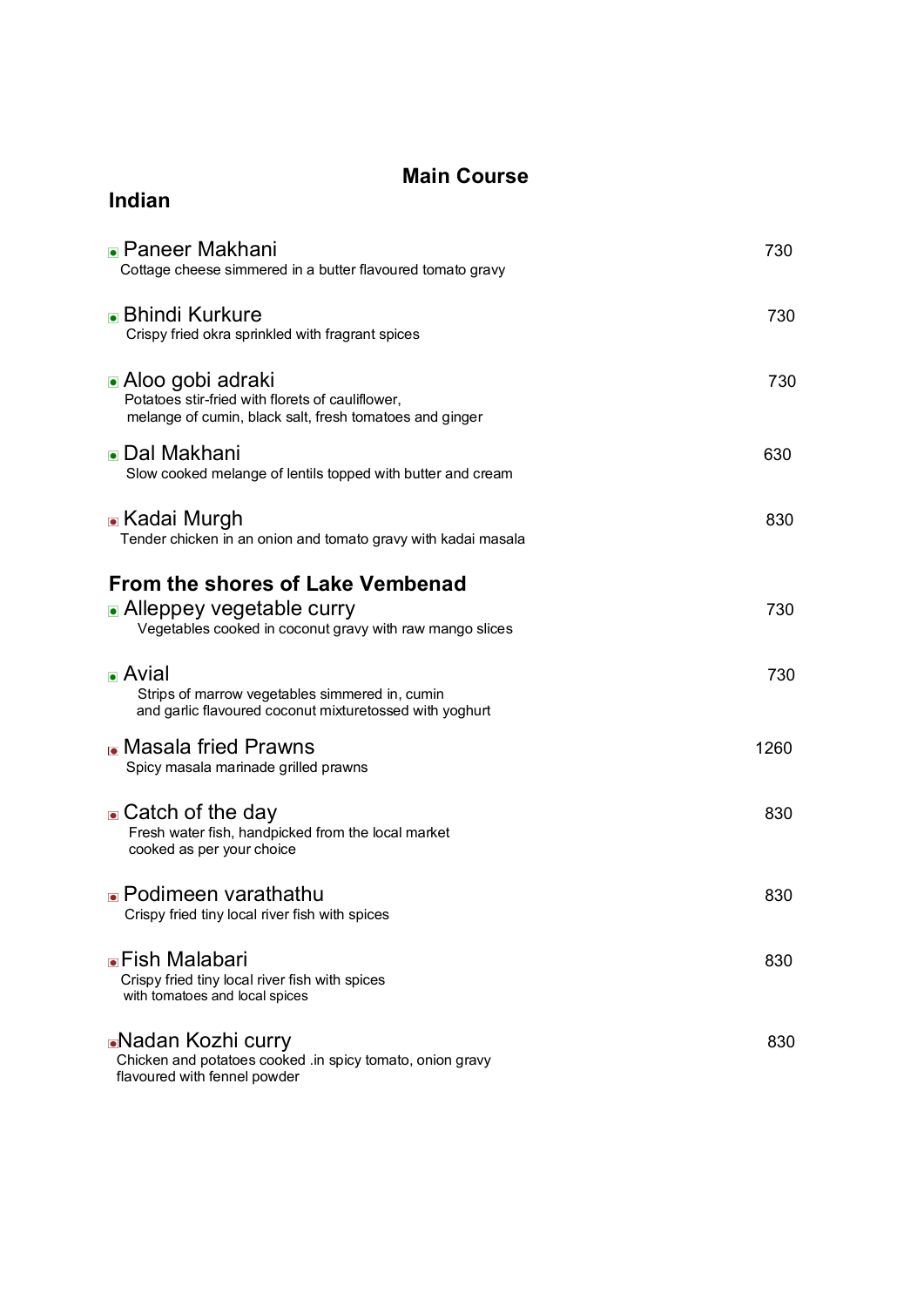#### **Main Course**

| <b>Indian</b>                                                                                                                            |      |
|------------------------------------------------------------------------------------------------------------------------------------------|------|
| <b>• Paneer Makhani</b><br>Cottage cheese simmered in a butter flavoured tomato gravy                                                    | 730  |
| <b>■ Bhindi Kurkure</b><br>Crispy fried okra sprinkled with fragrant spices                                                              | 730  |
| <b>■ Aloo gobi adraki</b><br>Potatoes stir-fried with florets of cauliflower,<br>melange of cumin, black salt, fresh tomatoes and ginger | 730  |
| <b>■</b> Dal Makhani<br>Slow cooked melange of lentils topped with butter and cream                                                      | 630  |
| <b>■ Kadai Murgh</b><br>Tender chicken in an onion and tomato gravy with kadai masala                                                    | 830  |
| From the shores of Lake Vembenad<br>• Alleppey vegetable curry<br>Vegetables cooked in coconut gravy with raw mango slices               | 730  |
| $\blacksquare$ Avial<br>Strips of marrow vegetables simmered in, cumin<br>and garlic flavoured coconut mixturetossed with yoghurt        | 730  |
| <b>• Masala fried Prawns</b><br>Spicy masala marinade grilled prawns                                                                     | 1260 |
| • Catch of the day<br>Fresh water fish, handpicked from the local market<br>cooked as per your choice                                    | 830  |
| • Podimeen varathathu<br>Crispy fried tiny local river fish with spices                                                                  | 830  |
| <b>■Fish Malabari</b><br>Crispy fried tiny local river fish with spices<br>with tomatoes and local spices                                | 830  |
| <b>■</b> Nadan Kozhi curry<br>Chicken and potatoes cooked .in spicy tomato, onion gravy<br>flavoured with fennel powder                  | 830  |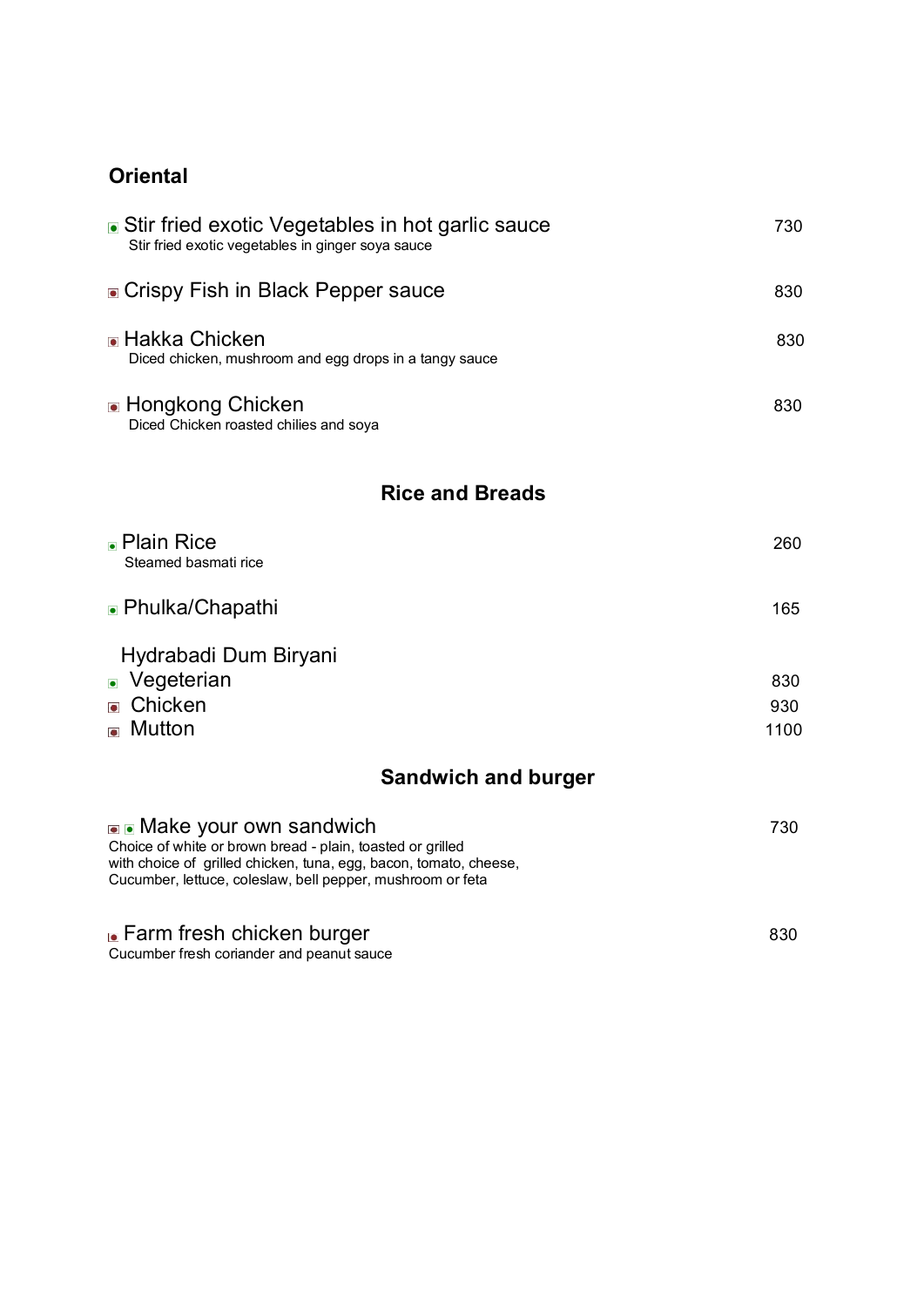### **Oriental**

| • Stir fried exotic Vegetables in hot garlic sauce<br>Stir fried exotic vegetables in ginger soya sauce | 730 |
|---------------------------------------------------------------------------------------------------------|-----|
| • Crispy Fish in Black Pepper sauce                                                                     | 830 |
| <b>• Hakka Chicken</b><br>Diced chicken, mushroom and egg drops in a tangy sauce                        | 830 |
| • Hongkong Chicken<br>Diced Chicken roasted chilies and soya                                            | 830 |

#### **Rice and Breads**

| • Plain Rice<br>Steamed basmati rice | 260  |
|--------------------------------------|------|
| • Phulka/Chapathi                    | 165  |
| Hydrabadi Dum Biryani                |      |
| • Vegeterian                         | 830  |
| $\bullet$ Chicken                    | 930  |
| $\blacksquare$ Mutton                | 1100 |

### **Sandwich and burger**

| • Make your own sandwich<br>Choice of white or brown bread - plain, toasted or grilled<br>with choice of grilled chicken, tuna, egg, bacon, tomato, cheese,<br>Cucumber, lettuce, coleslaw, bell pepper, mushroom or feta | 730 |
|---------------------------------------------------------------------------------------------------------------------------------------------------------------------------------------------------------------------------|-----|
| <b>E</b> Farm fresh chicken burger                                                                                                                                                                                        | 830 |

Cucumber fresh coriander and peanut sauce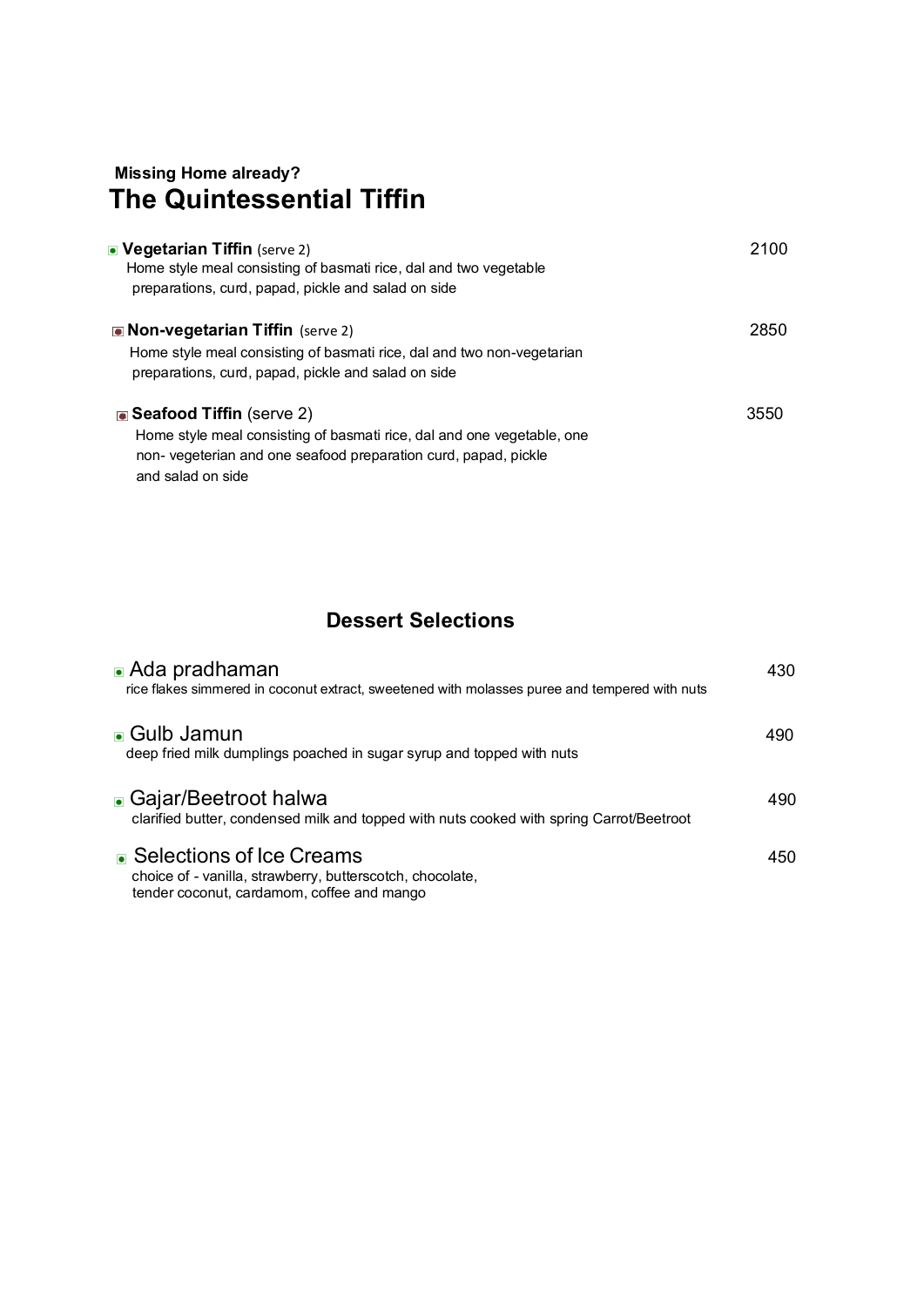### **Missing Home already? The Quintessential Tiffin**

| • Vegetarian Tiffin (serve 2)<br>Home style meal consisting of basmati rice, dal and two vegetable<br>preparations, curd, papad, pickle and salad on side                                   | 2100 |
|---------------------------------------------------------------------------------------------------------------------------------------------------------------------------------------------|------|
| <b>Non-vegetarian Tiffin</b> (serve 2)<br>Home style meal consisting of basmati rice, dal and two non-vegetarian<br>preparations, curd, papad, pickle and salad on side                     | 2850 |
| ■ Seafood Tiffin (serve 2)<br>Home style meal consisting of basmati rice, dal and one vegetable, one<br>non-vegeterian and one seafood preparation curd, papad, pickle<br>and salad on side | 3550 |

#### **Dessert Selections**

| $\blacksquare$ Ada pradhaman<br>rice flakes simmered in coconut extract, sweetened with molasses puree and tempered with nuts         | 430 |
|---------------------------------------------------------------------------------------------------------------------------------------|-----|
| • Gulb Jamun<br>deep fried milk dumplings poached in sugar syrup and topped with nuts                                                 | 490 |
| • Gajar/Beetroot halwa<br>clarified butter, condensed milk and topped with nuts cooked with spring Carrot/Beetroot                    | 490 |
| • Selections of Ice Creams<br>choice of - vanilla, strawberry, butterscotch, chocolate,<br>tender coconut, cardamom, coffee and mango | 450 |